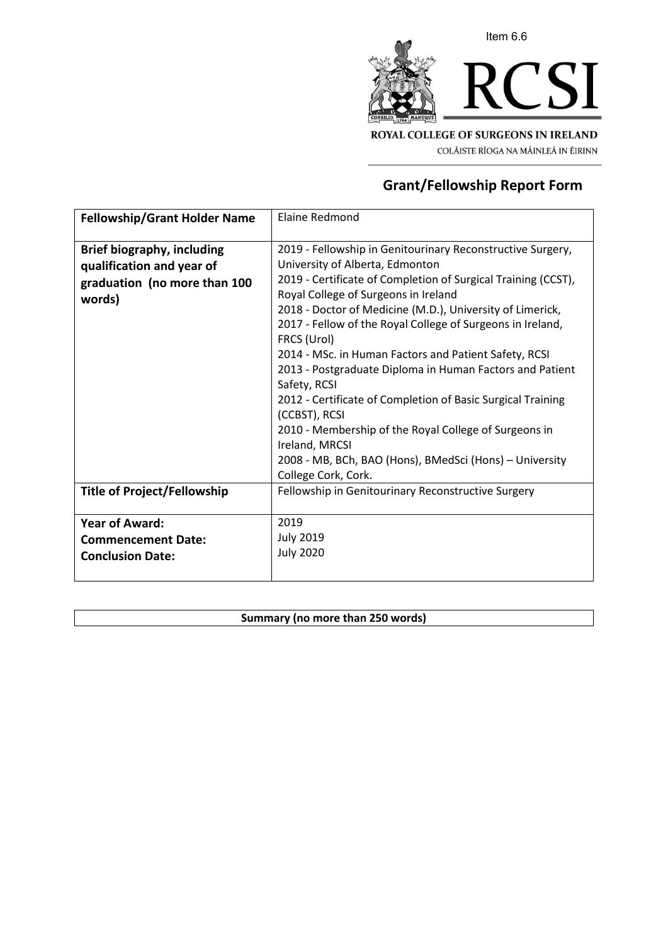

COLÁISTE RÍOGA NA MÁINLEÁ IN ÉIRINN

# **Grant/Fellowship Report Form**

| <b>Fellowship/Grant Holder Name</b>                                                                      | <b>Elaine Redmond</b>                                                                                                                                                                                                                                                                                                                                                                                                                                                                                                                                                                                                                                                                                                              |
|----------------------------------------------------------------------------------------------------------|------------------------------------------------------------------------------------------------------------------------------------------------------------------------------------------------------------------------------------------------------------------------------------------------------------------------------------------------------------------------------------------------------------------------------------------------------------------------------------------------------------------------------------------------------------------------------------------------------------------------------------------------------------------------------------------------------------------------------------|
| <b>Brief biography, including</b><br>qualification and year of<br>graduation (no more than 100<br>words) | 2019 - Fellowship in Genitourinary Reconstructive Surgery,<br>University of Alberta, Edmonton<br>2019 - Certificate of Completion of Surgical Training (CCST),<br>Royal College of Surgeons in Ireland<br>2018 - Doctor of Medicine (M.D.), University of Limerick,<br>2017 - Fellow of the Royal College of Surgeons in Ireland,<br>FRCS (Urol)<br>2014 - MSc. in Human Factors and Patient Safety, RCSI<br>2013 - Postgraduate Diploma in Human Factors and Patient<br>Safety, RCSI<br>2012 - Certificate of Completion of Basic Surgical Training<br>(CCBST), RCSI<br>2010 - Membership of the Royal College of Surgeons in<br>Ireland, MRCSI<br>2008 - MB, BCh, BAO (Hons), BMedSci (Hons) - University<br>College Cork, Cork. |
| <b>Title of Project/Fellowship</b>                                                                       | Fellowship in Genitourinary Reconstructive Surgery                                                                                                                                                                                                                                                                                                                                                                                                                                                                                                                                                                                                                                                                                 |
| <b>Year of Award:</b><br><b>Commencement Date:</b><br><b>Conclusion Date:</b>                            | 2019<br><b>July 2019</b><br><b>July 2020</b>                                                                                                                                                                                                                                                                                                                                                                                                                                                                                                                                                                                                                                                                                       |

# **Summary (no more than 250 words)**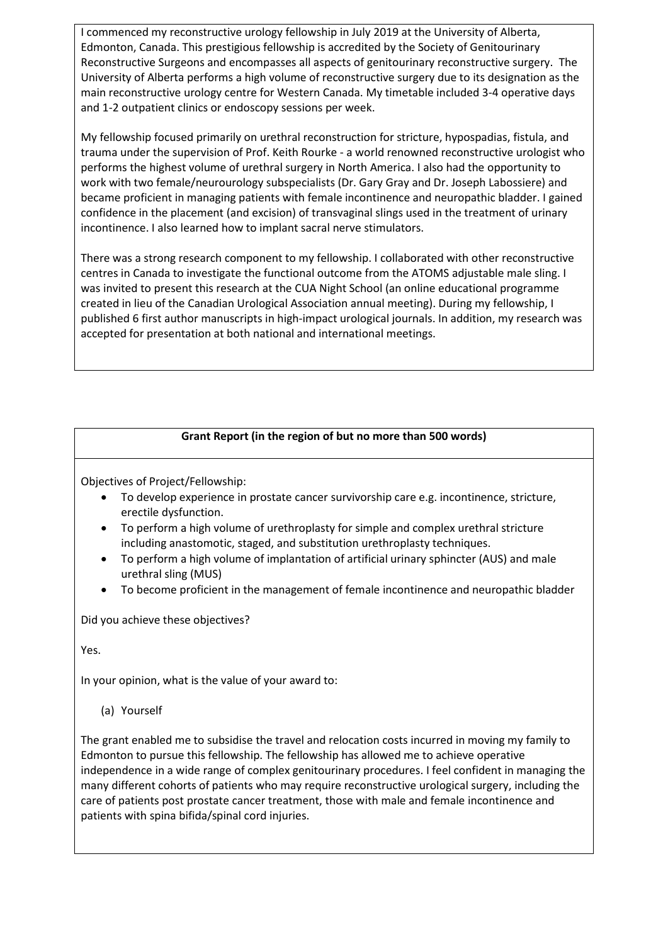I commenced my reconstructive urology fellowship in July 2019 at the University of Alberta, Edmonton, Canada. This prestigious fellowship is accredited by the Society of Genitourinary Reconstructive Surgeons and encompasses all aspects of genitourinary reconstructive surgery. The University of Alberta performs a high volume of reconstructive surgery due to its designation as the main reconstructive urology centre for Western Canada. My timetable included 3-4 operative days and 1-2 outpatient clinics or endoscopy sessions per week.

My fellowship focused primarily on urethral reconstruction for stricture, hypospadias, fistula, and trauma under the supervision of Prof. Keith Rourke - a world renowned reconstructive urologist who performs the highest volume of urethral surgery in North America. I also had the opportunity to work with two female/neurourology subspecialists (Dr. Gary Gray and Dr. Joseph Labossiere) and became proficient in managing patients with female incontinence and neuropathic bladder. I gained confidence in the placement (and excision) of transvaginal slings used in the treatment of urinary incontinence. I also learned how to implant sacral nerve stimulators.

There was a strong research component to my fellowship. I collaborated with other reconstructive centres in Canada to investigate the functional outcome from the ATOMS adjustable male sling. I was invited to present this research at the CUA Night School (an online educational programme created in lieu of the Canadian Urological Association annual meeting). During my fellowship, I published 6 first author manuscripts in high-impact urological journals. In addition, my research was accepted for presentation at both national and international meetings.

### **Grant Report (in the region of but no more than 500 words)**

Objectives of Project/Fellowship:

- To develop experience in prostate cancer survivorship care e.g. incontinence, stricture, erectile dysfunction.
- To perform a high volume of urethroplasty for simple and complex urethral stricture including anastomotic, staged, and substitution urethroplasty techniques.
- To perform a high volume of implantation of artificial urinary sphincter (AUS) and male urethral sling (MUS)
- To become proficient in the management of female incontinence and neuropathic bladder

Did you achieve these objectives?

Yes.

In your opinion, what is the value of your award to:

(a) Yourself

The grant enabled me to subsidise the travel and relocation costs incurred in moving my family to Edmonton to pursue this fellowship. The fellowship has allowed me to achieve operative independence in a wide range of complex genitourinary procedures. I feel confident in managing the many different cohorts of patients who may require reconstructive urological surgery, including the care of patients post prostate cancer treatment, those with male and female incontinence and patients with spina bifida/spinal cord injuries.